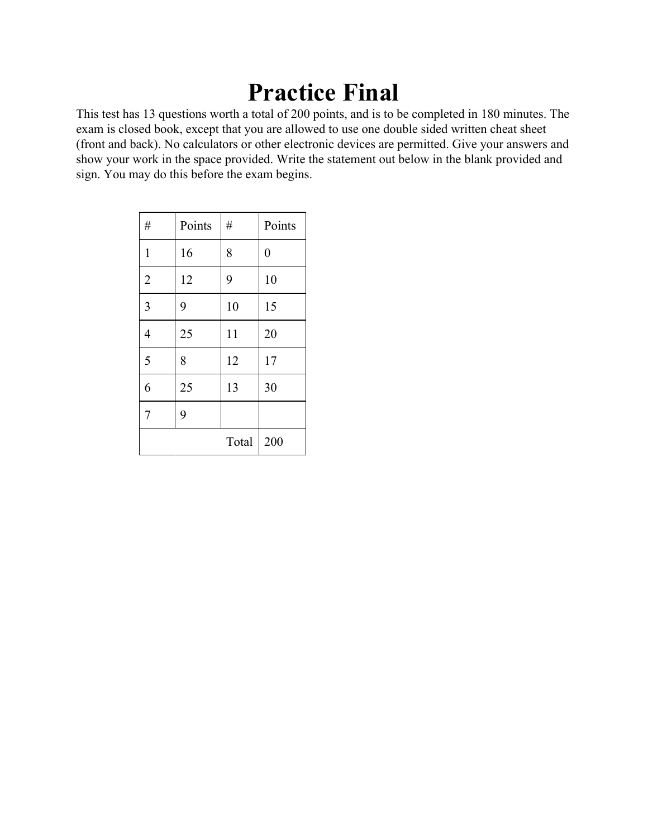## **Practice Final**

This test has 13 questions worth a total of 200 points, and is to be completed in 180 minutes. The exam is closed book, except that you are allowed to use one double sided written cheat sheet (front and back). No calculators or other electronic devices are permitted. Give your answers and show your work in the space provided. Write the statement out below in the blank provided and sign. You may do this before the exam begins.

| $\#$           | Points | $\#$  | Points         |
|----------------|--------|-------|----------------|
| $\mathbf{1}$   | 16     | 8     | $\overline{0}$ |
| $\overline{2}$ | 12     | 9     | 10             |
| $\overline{3}$ | 9      | 10    | 15             |
| $\overline{4}$ | 25     | 11    | 20             |
| 5              | 8      | 12    | 17             |
| 6              | 25     | 13    | 30             |
| $\overline{7}$ | 9      |       |                |
|                |        | Total | 200            |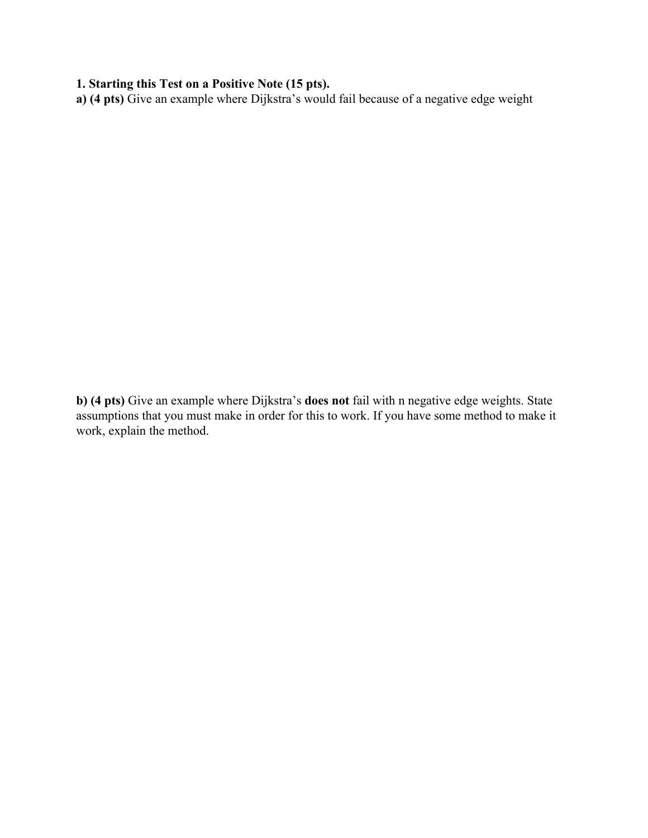## **1. Starting this Test on a Positive Note (15 pts).**

**a) (4 pts)** Give an example where Dijkstra's would fail because of a negative edge weight

**b) (4 pts)** Give an example where Dijkstra's **does not** fail with n negative edge weights. State assumptions that you must make in order for this to work. If you have some method to make it work, explain the method.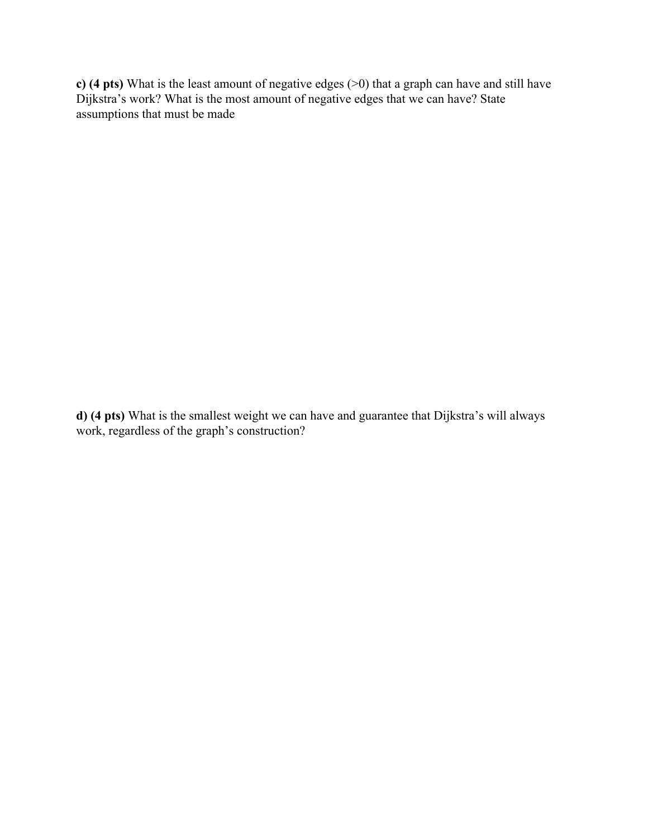**c) (4 pts)** What is the least amount of negative edges (>0) that a graph can have and still have Dijkstra's work? What is the most amount of negative edges that we can have? State assumptions that must be made

**d) (4 pts)** What is the smallest weight we can have and guarantee that Dijkstra's will always work, regardless of the graph's construction?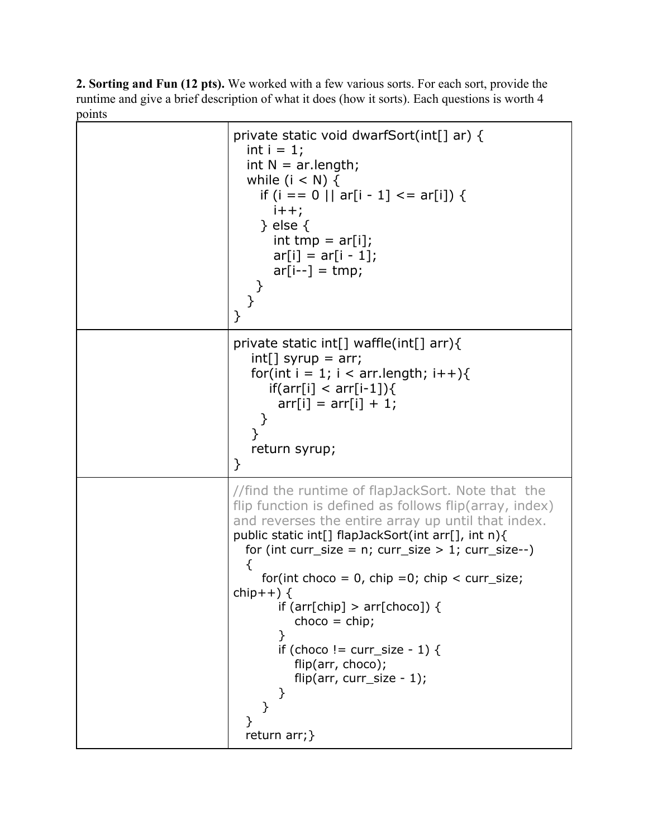**2. Sorting and Fun (12 pts).** We worked with a few various sorts. For each sort, provide the runtime and give a brief description of what it does (how it sorts). Each questions is worth 4 points

| private static void dwarfSort(int[] ar) {<br>int $i = 1$ ;<br>int $N = ar.length;$<br>while $(i < N)$ {<br>if (i == 0    ar[i - 1] <= ar[i]) {<br>$i++;$<br>$\}$ else $\{$<br>$int tmp = ar[i];$<br>$ar[i] = ar[i - 1];$<br>$ar[i-]=tmp;$<br>}                                                                                                                                                                                                                                                                                             |
|--------------------------------------------------------------------------------------------------------------------------------------------------------------------------------------------------------------------------------------------------------------------------------------------------------------------------------------------------------------------------------------------------------------------------------------------------------------------------------------------------------------------------------------------|
| private static int[] waffle(int[] arr){<br>$int[]$ syrup = arr;<br>for(int i = 1; i < arr.length; i++){<br>$if(ar[i] < arr[i-1])$ {<br>$arr[i] = arr[i] + 1;$<br>$\mathcal{F}_{\mathcal{A}}$<br>ł<br>return syrup;<br>$\}$                                                                                                                                                                                                                                                                                                                 |
| //find the runtime of flapJackSort. Note that the<br>flip function is defined as follows flip(array, index)<br>and reverses the entire array up until that index.<br>public static int[] flapJackSort(int arr[], int n){<br>for (int curr_size = $n$ ; curr_size > 1; curr_size--)<br>₹<br>for(int choco = 0, chip = 0; chip < curr_size;<br>chip++ $)$ {<br>if (arr[chip] > arr[choco]) {<br>$choco = chip;$<br>}<br>if (choco != curr_size - 1) {<br>flip(arr, choco);<br>flip(arr, curr_size - $1$ );<br>}<br>}<br>ł<br>return $arr;$ } |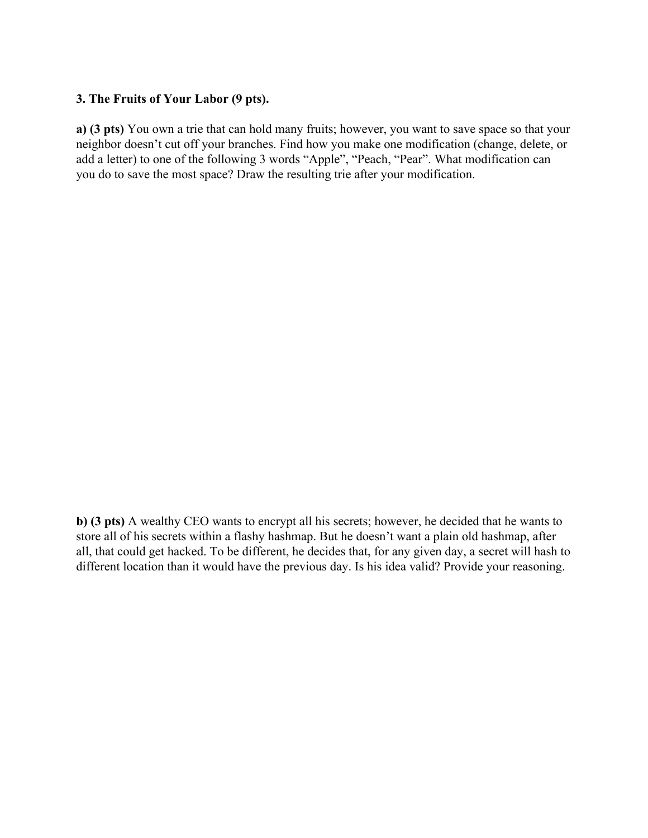## **3. The Fruits of Your Labor (9 pts).**

**a) (3 pts)** You own a trie that can hold many fruits; however, you want to save space so that your neighbor doesn't cut off your branches. Find how you make one modification (change, delete, or add a letter) to one of the following 3 words "Apple", "Peach, "Pear". What modification can you do to save the most space? Draw the resulting trie after your modification.

**b) (3 pts)** A wealthy CEO wants to encrypt all his secrets; however, he decided that he wants to store all of his secrets within a flashy hashmap. But he doesn't want a plain old hashmap, after all, that could get hacked. To be different, he decides that, for any given day, a secret will hash to different location than it would have the previous day. Is his idea valid? Provide your reasoning.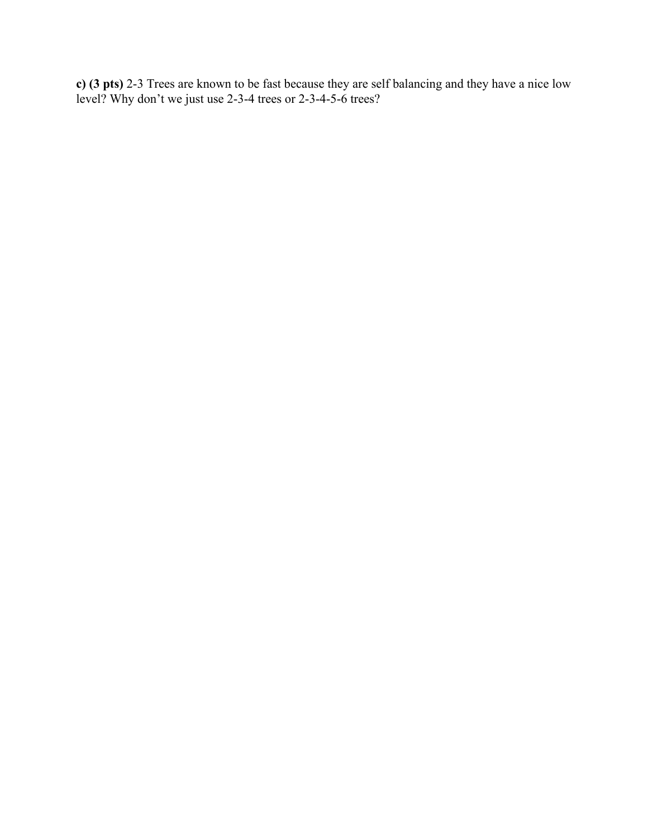**c) (3 pts)** 2-3 Trees are known to be fast because they are self balancing and they have a nice low level? Why don't we just use 2-3-4 trees or 2-3-4-5-6 trees?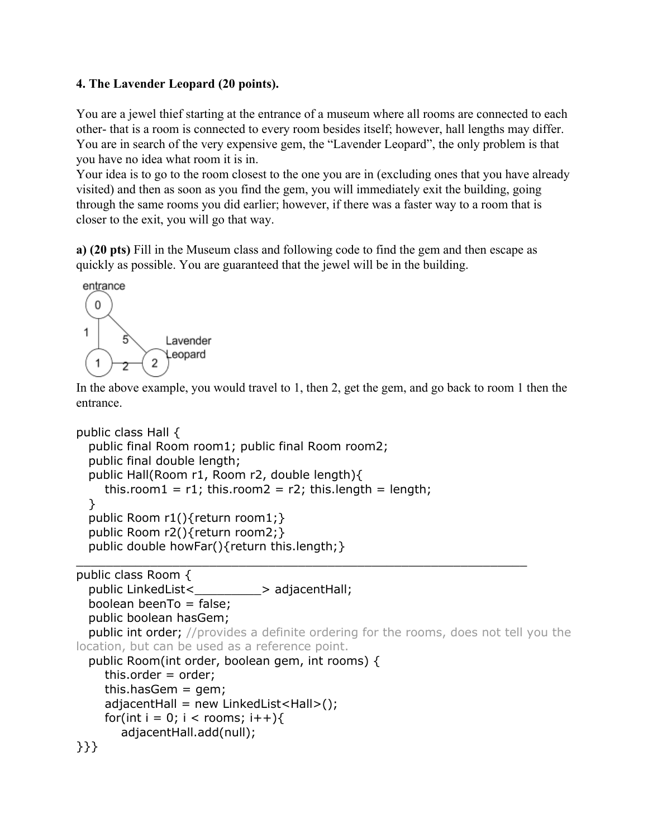## **4. The Lavender Leopard (20 points).**

You are a jewel thief starting at the entrance of a museum where all rooms are connected to each other- that is a room is connected to every room besides itself; however, hall lengths may differ. You are in search of the very expensive gem, the "Lavender Leopard", the only problem is that you have no idea what room it is in.

Your idea is to go to the room closest to the one you are in (excluding ones that you have already visited) and then as soon as you find the gem, you will immediately exit the building, going through the same rooms you did earlier; however, if there was a faster way to a room that is closer to the exit, you will go that way.

**a) (20 pts)** Fill in the Museum class and following code to find the gem and then escape as quickly as possible. You are guaranteed that the jewel will be in the building.



In the above example, you would travel to 1, then 2, get the gem, and go back to room 1 then the entrance.

```
public class Hall {
  public final Room room1; public final Room room2;
  public final double length;
  public Hall(Room r1, Room r2, double length){
    this.room1 = r1; this.room2 = r2; this.length = length;
  }
  public Room r1(){return room1;}
  public Room r2(){return room2;}
  public double howFar(){return this.length;}
_____________________________________________________________
public class Room {
  public LinkedList<>>>>>>> adjacentHall;
  boolean beenTo = false;
  public boolean hasGem;
  public int order; //provides a definite ordering for the rooms, does not tell you the
location, but can be used as a reference point.
  public Room(int order, boolean gem, int rooms) {
    this.order = order;
    this.hasGem = qem;
    adjacentHall = new LinkedList < Hall >();for(int i = 0; i < rooms; i++){
       adjacentHall.add(null);
}}}
```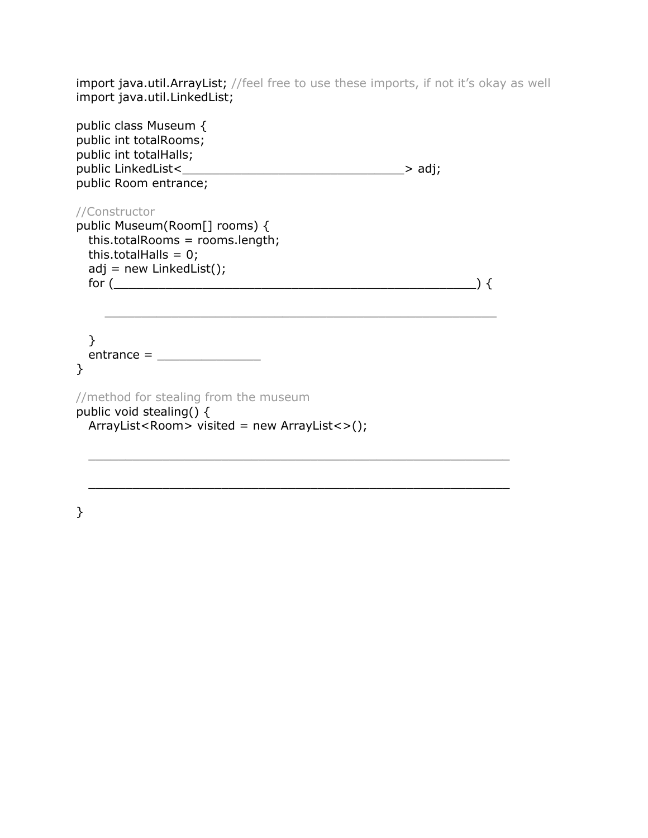import java.util.ArrayList; //feel free to use these imports, if not it's okay as well import java.util.LinkedList;

| public class Museum {<br>public int totalRooms;<br>public int totalHalls;<br>public Room entrance;                                              | .> adj; |
|-------------------------------------------------------------------------------------------------------------------------------------------------|---------|
| //Constructor<br>public Museum(Room[] rooms) {<br>this.totalRooms = rooms.length;<br>this.totalHalls = $0$ ;<br>$adj = new$ LinkedList();       |         |
| $entrance = \_$<br>ł<br>//method for stealing from the museum<br>public void stealing() {<br>$ArrayList <$ Room> visited = new $ArrayList <$ ); |         |
|                                                                                                                                                 |         |

\_\_\_\_\_\_\_\_\_\_\_\_\_\_\_\_\_\_\_\_\_\_\_\_\_\_\_\_\_\_\_\_\_\_\_\_\_\_\_\_\_\_\_\_\_\_\_\_\_\_\_\_\_\_\_\_\_

}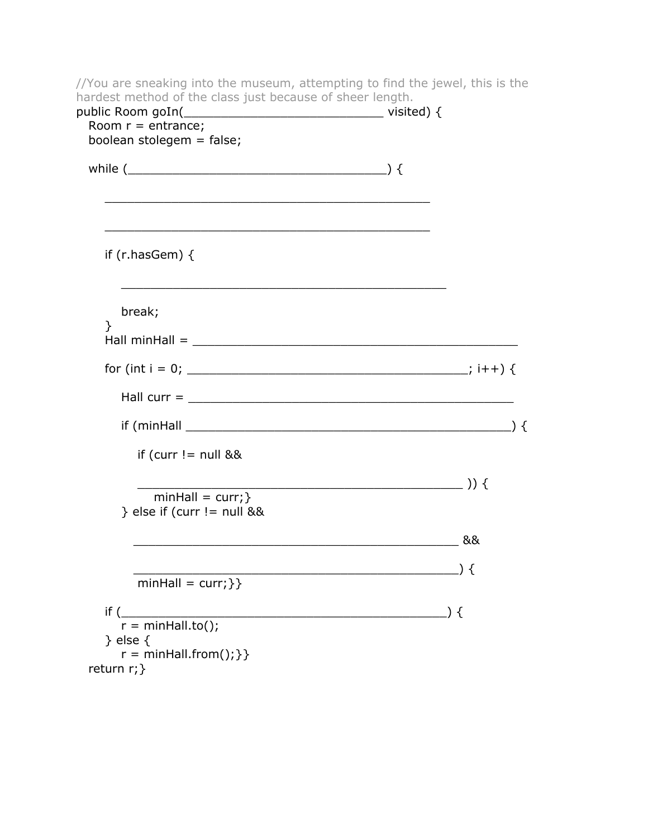//You are sneaking into the museum, attempting to find the jewel, this is the hardest method of the class just because of sheer length. public Room goIn(\_\_\_\_\_\_\_\_\_\_\_\_\_\_\_\_\_\_\_\_\_\_\_\_\_\_\_ visited) { Room  $r =$  entrance; boolean stolegem = false; while  $($ \_\_\_\_\_\_\_\_\_\_\_\_\_\_\_\_\_\_\_\_\_\_\_\_\_\_\_\_\_\_\_\_\_\_\_\_\_\_\_\_\_\_\_\_ if (r.hasGem) { break; }  $Hall minHall = \_$ for (int i = 0; \_\_\_\_\_\_\_\_\_\_\_\_\_\_\_\_\_\_\_\_\_\_\_\_\_\_\_\_\_\_\_\_\_\_\_\_\_\_; i++) { Hall curr  $=$  $if (minHall \_$ if (curr  $!=$  null &&  $\qquad \qquad$  )) {  $minHall = curr;$  $}$  else if (curr != null && \_\_\_\_\_\_\_\_\_\_\_\_\_\_\_\_\_\_\_\_\_\_\_\_\_\_\_\_\_\_\_\_\_\_\_\_\_\_\_\_\_\_\_\_ &&  $\qquad \qquad$  ) {  $minHall = curr;$ }  $if ($  $r = minHall.to()$ ; } else {  $r = \text{minHall}$ .from(); } } return r;}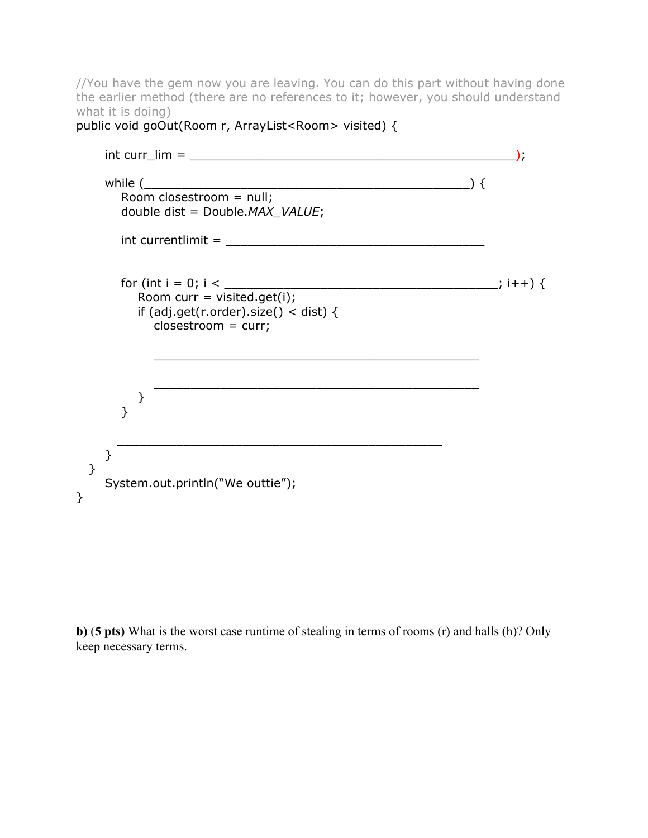//You have the gem now you are leaving. You can do this part without having done the earlier method (there are no references to it; however, you should understand what it is doing) public void goOut(Room r, ArrayList<Room> visited) {

```
int curr_lim = ____________________________________________);
   while (Room closestroom = null;
     double dist = Double.MAX_VALUE;
     \text{int current limit} = \_for (int i = 0; i < _____________________________________; i++) {
        Room curr = visited.get(i);
        if (adj.get(r.order).size() < dist) {
          closestroom = curr;
          ____________________________________________
          ____________________________________________
       }
     }
     ____________________________________________
   }
 }
   System.out.println("We outtie");
}
```
**b)** (**5 pts)** What is the worst case runtime of stealing in terms of rooms (r) and halls (h)? Only keep necessary terms.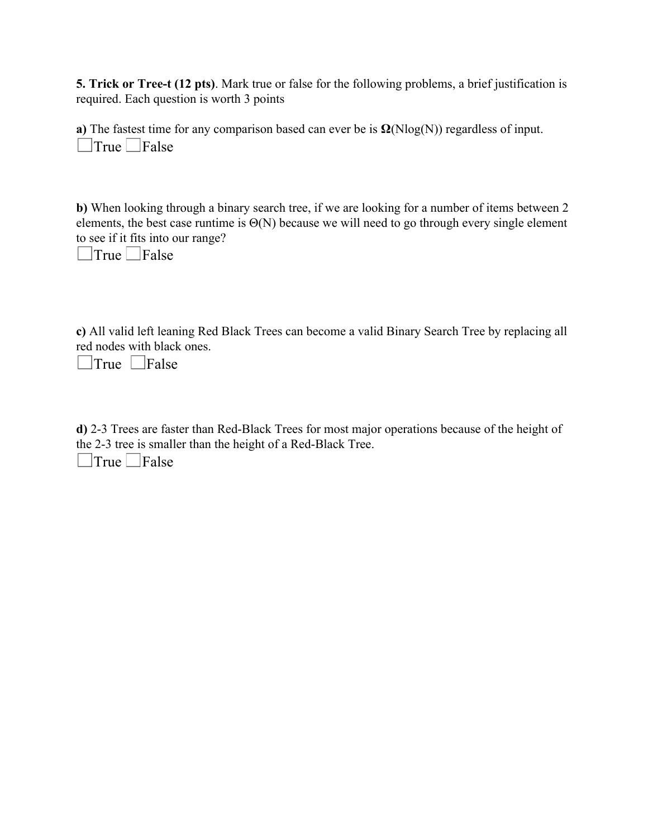**5. Trick or Tree-t (12 pts)**. Mark true or false for the following problems, a brief justification is required. Each question is worth 3 points

**a)** The fastest time for any comparison based can ever be is  $\Omega(N\log(N))$  regardless of input.  $\Box$ True  $\Box$ False

**b)** When looking through a binary search tree, if we are looking for a number of items between 2 elements, the best case runtime is  $\Theta(N)$  because we will need to go through every single element to see if it fits into our range?

 $\Box$ True  $\Box$ False

**c)** All valid left leaning Red Black Trees can become a valid Binary Search Tree by replacing all red nodes with black ones.

 $\Box$ True  $\Box$ False

**d)** 2-3 Trees are faster than Red-Black Trees for most major operations because of the height of the 2-3 tree is smaller than the height of a Red-Black Tree.  $\Box$ True  $\Box$ False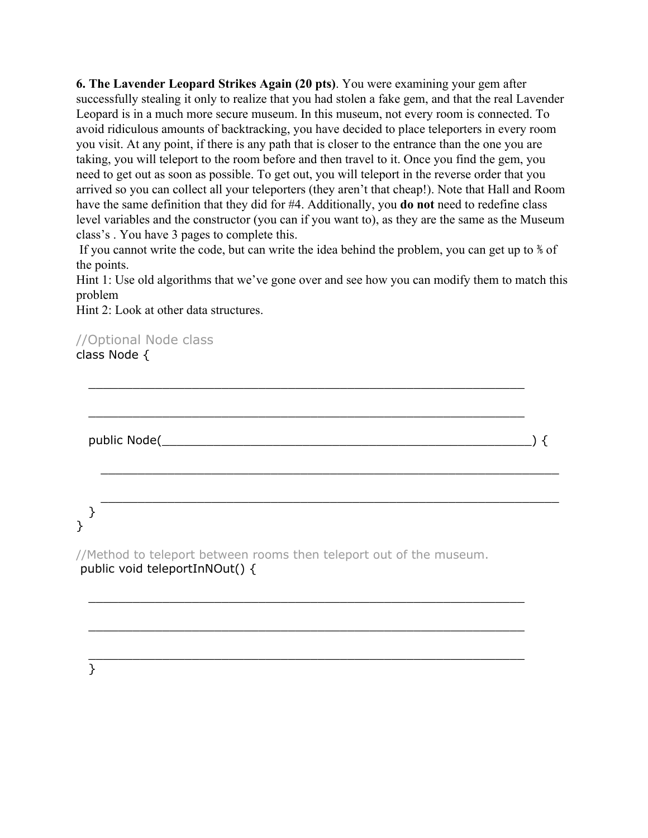**6. The Lavender Leopard Strikes Again (20 pts)**. You were examining your gem after successfully stealing it only to realize that you had stolen a fake gem, and that the real Lavender Leopard is in a much more secure museum. In this museum, not every room is connected. To avoid ridiculous amounts of backtracking, you have decided to place teleporters in every room you visit. At any point, if there is any path that is closer to the entrance than the one you are taking, you will teleport to the room before and then travel to it. Once you find the gem, you need to get out as soon as possible. To get out, you will teleport in the reverse order that you arrived so you can collect all your teleporters (they aren't that cheap!). Note that Hall and Room have the same definition that they did for #4. Additionally, you **do not** need to redefine class level variables and the constructor (you can if you want to), as they are the same as the Museum class's . You have 3 pages to complete this.

If you cannot write the code, but can write the idea behind the problem, you can get up to ⅗ of the points.

Hint 1: Use old algorithms that we've gone over and see how you can modify them to match this problem

\_\_\_\_\_\_\_\_\_\_\_\_\_\_\_\_\_\_\_\_\_\_\_\_\_\_\_\_\_\_\_\_\_\_\_\_\_\_\_\_\_\_\_\_\_\_\_\_\_\_\_\_\_\_\_\_\_\_\_

\_\_\_\_\_\_\_\_\_\_\_\_\_\_\_\_\_\_\_\_\_\_\_\_\_\_\_\_\_\_\_\_\_\_\_\_\_\_\_\_\_\_\_\_\_\_\_\_\_\_\_\_\_\_\_\_\_\_\_

\_\_\_\_\_\_\_\_\_\_\_\_\_\_\_\_\_\_\_\_\_\_\_\_\_\_\_\_\_\_\_\_\_\_\_\_\_\_\_\_\_\_\_\_\_\_\_\_\_\_\_\_\_\_\_\_\_\_\_\_\_\_

\_\_\_\_\_\_\_\_\_\_\_\_\_\_\_\_\_\_\_\_\_\_\_\_\_\_\_\_\_\_\_\_\_\_\_\_\_\_\_\_\_\_\_\_\_\_\_\_\_\_\_\_\_\_\_\_\_\_\_\_\_\_

Hint 2: Look at other data structures.

//Optional Node class class Node {

public Node(\_\_\_\_\_\_\_\_\_\_\_\_\_\_\_\_\_\_\_\_\_\_\_\_\_\_\_\_\_\_\_\_\_\_\_\_\_\_\_\_\_\_\_\_\_\_\_\_\_\_) {

#### } }

//Method to teleport between rooms then teleport out of the museum. public void teleportInNOut() {

\_\_\_\_\_\_\_\_\_\_\_\_\_\_\_\_\_\_\_\_\_\_\_\_\_\_\_\_\_\_\_\_\_\_\_\_\_\_\_\_\_\_\_\_\_\_\_\_\_\_\_\_\_\_\_\_\_\_\_

\_\_\_\_\_\_\_\_\_\_\_\_\_\_\_\_\_\_\_\_\_\_\_\_\_\_\_\_\_\_\_\_\_\_\_\_\_\_\_\_\_\_\_\_\_\_\_\_\_\_\_\_\_\_\_\_\_\_\_

\_\_\_\_\_\_\_\_\_\_\_\_\_\_\_\_\_\_\_\_\_\_\_\_\_\_\_\_\_\_\_\_\_\_\_\_\_\_\_\_\_\_\_\_\_\_\_\_\_\_\_\_\_\_\_\_\_\_\_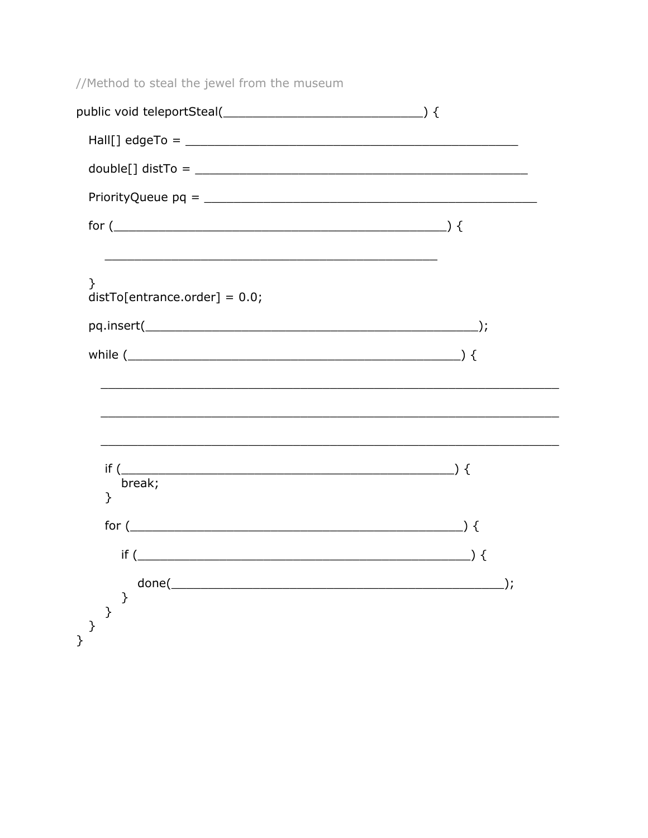//Method to steal the jewel from the museum  $Hall[]$  edgeTo =  $double[] distTo = \_$  $PriorityQueue pq = \_$ }  $distTo[entrance.order] = 0.0;$ while  $($ <u> 1989 - Johann Barbara, martxa alemaniar amerikan basar da da a shekara a shekara a shekara a shekara a shekar</u>  $\overline{\phantom{a}}$  ) { if  $($ break;  $\mathcal{E}$ for  $($ if  $($  $\}$  $\rightarrow$   $\rightarrow$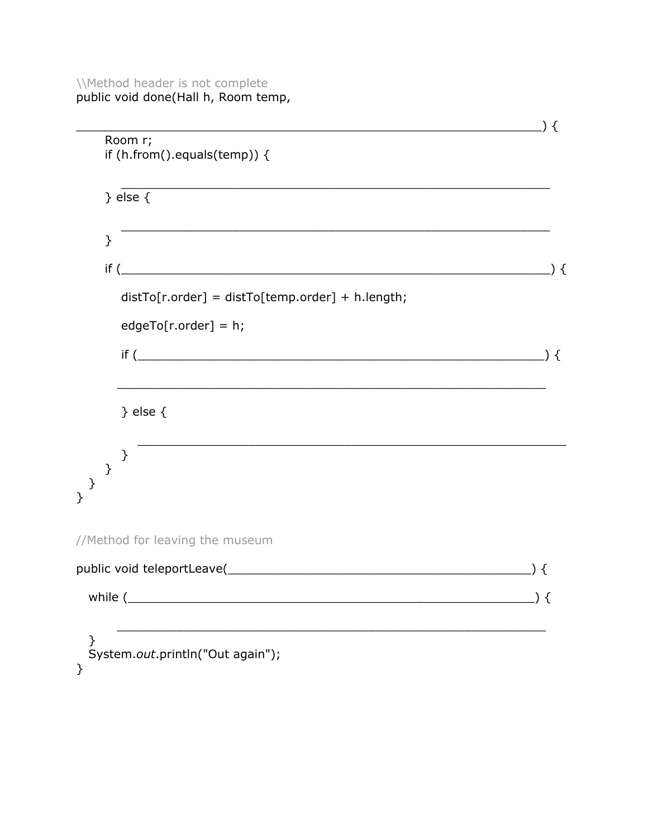# \\Method header is not complete<br>public void done(Hall h, Room temp,

| <u> 1989 - Johann Barn, mars ar breithinn ar chwaraeth a bhaile ann an 1992.</u>                                                       | $\left.\right)$ { |
|----------------------------------------------------------------------------------------------------------------------------------------|-------------------|
| Room r;<br>if $(h.$ from $()$ .equals $(temp))$ {                                                                                      |                   |
| $\}$ else $\{$                                                                                                                         |                   |
| <u> 1989 - An Dùbhlachd ann an Dùbhlachd ann an Dùbhlachd ann an Dùbhlachd ann an Dùbhlachd ann an Dùbhlachd ann </u><br>$\mathcal{F}$ |                   |
| $\mathsf{if}$ (                                                                                                                        | ) {               |
| $distTo[r.order] = distTo[temp.order] + h.length;$                                                                                     |                   |
| $edgeTo[r.order] = h;$                                                                                                                 |                   |
|                                                                                                                                        |                   |
| } else $\{$                                                                                                                            |                   |
| }<br>$\mathcal{Y}$                                                                                                                     |                   |
| ł                                                                                                                                      |                   |
| //Method for leaving the museum                                                                                                        |                   |
|                                                                                                                                        | ) {               |
| while (                                                                                                                                | ) {               |
| }<br>System.out.println("Out again");<br>}                                                                                             |                   |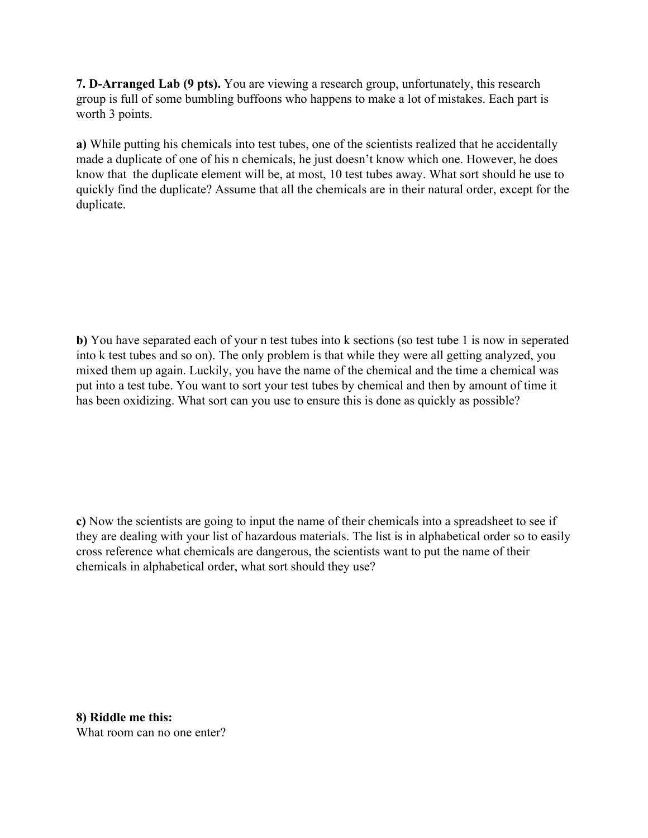**7. D-Arranged Lab (9 pts).** You are viewing a research group, unfortunately, this research group is full of some bumbling buffoons who happens to make a lot of mistakes. Each part is worth 3 points.

**a)** While putting his chemicals into test tubes, one of the scientists realized that he accidentally made a duplicate of one of his n chemicals, he just doesn't know which one. However, he does know that the duplicate element will be, at most, 10 test tubes away. What sort should he use to quickly find the duplicate? Assume that all the chemicals are in their natural order, except for the duplicate.

**b)** You have separated each of your n test tubes into k sections (so test tube 1 is now in seperated into k test tubes and so on). The only problem is that while they were all getting analyzed, you mixed them up again. Luckily, you have the name of the chemical and the time a chemical was put into a test tube. You want to sort your test tubes by chemical and then by amount of time it has been oxidizing. What sort can you use to ensure this is done as quickly as possible?

**c)** Now the scientists are going to input the name of their chemicals into a spreadsheet to see if they are dealing with your list of hazardous materials. The list is in alphabetical order so to easily cross reference what chemicals are dangerous, the scientists want to put the name of their chemicals in alphabetical order, what sort should they use?

**8) Riddle me this:** What room can no one enter?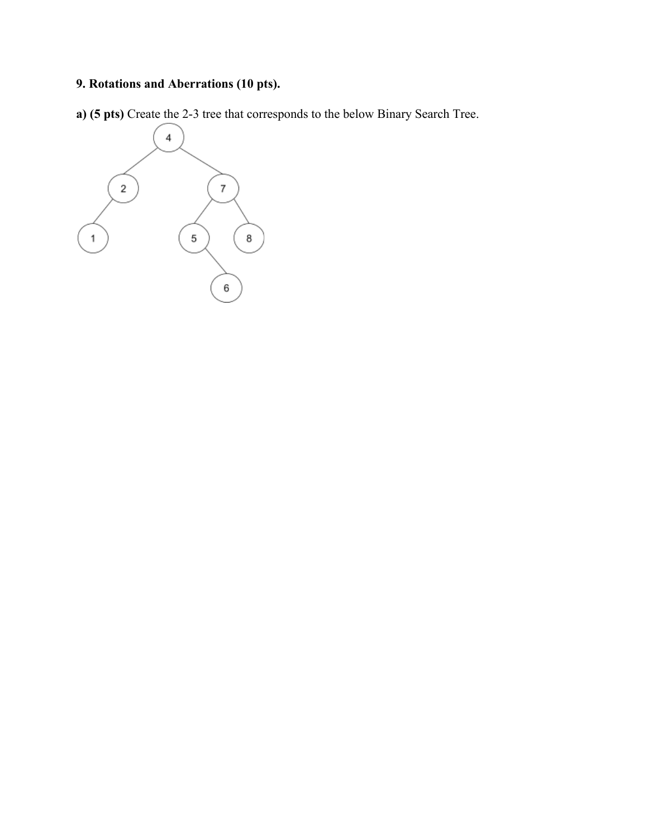## **9. Rotations and Aberrations (10 pts).**

**a) (5 pts)** Create the 2-3 tree that corresponds to the below Binary Search Tree.

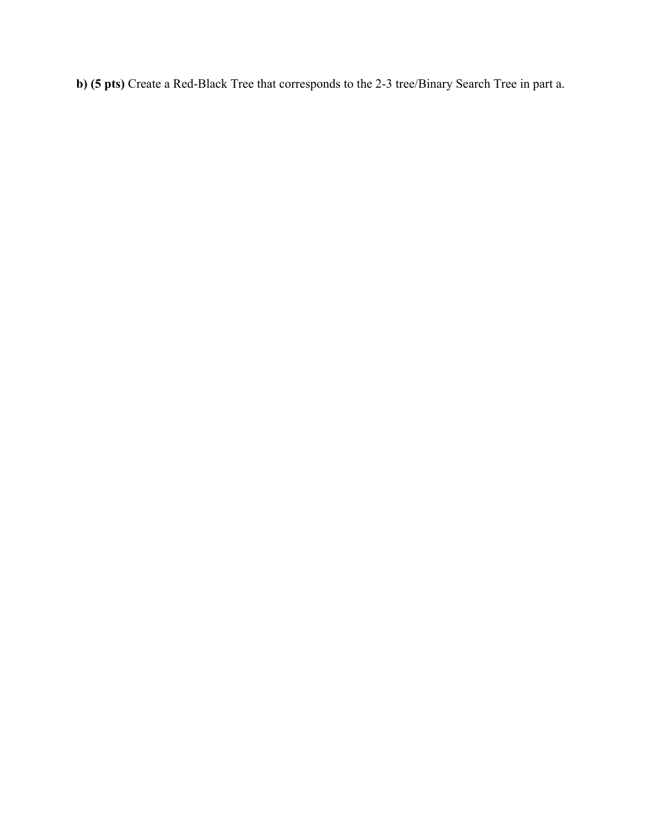**b) (5 pts)** Create a Red-Black Tree that corresponds to the 2-3 tree/Binary Search Tree in part a.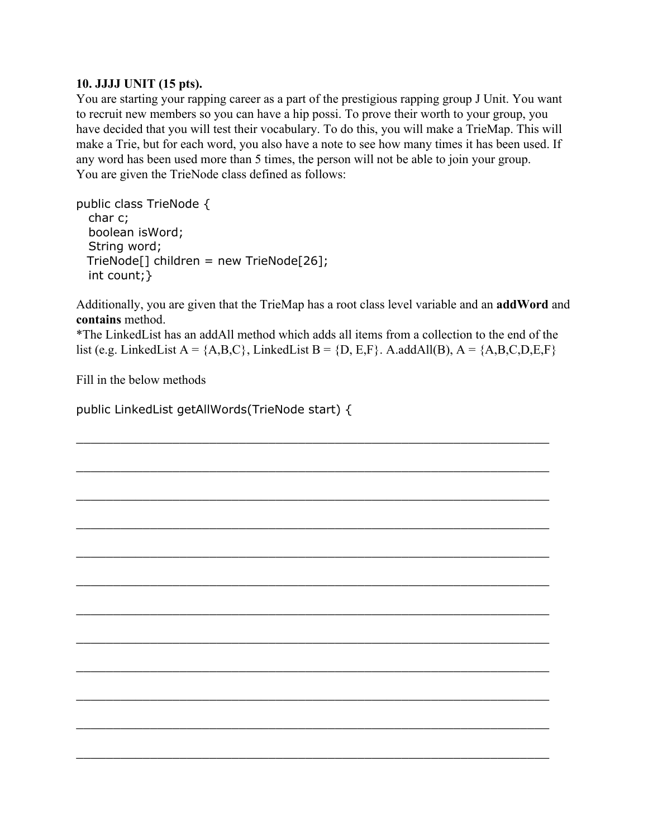## **10. JJJJ UNIT (15 pts).**

You are starting your rapping career as a part of the prestigious rapping group J Unit. You want to recruit new members so you can have a hip possi. To prove their worth to your group, you have decided that you will test their vocabulary. To do this, you will make a TrieMap. This will make a Trie, but for each word, you also have a note to see how many times it has been used. If any word has been used more than 5 times, the person will not be able to join your group. You are given the TrieNode class defined as follows:

public class TrieNode { char c; boolean isWord; String word; TrieNode[] children = new TrieNode[26]; int count;}

Additionally, you are given that the TrieMap has a root class level variable and an **addWord** and **contains** method.

\*The LinkedList has an addAll method which adds all items from a collection to the end of the list (e.g. LinkedList A =  ${A, B, C}$ , LinkedList B =  ${D, E, F}$ . A.addAll(B), A =  ${A, B, C, D, E, F}$ 

\_\_\_\_\_\_\_\_\_\_\_\_\_\_\_\_\_\_\_\_\_\_\_\_\_\_\_\_\_\_\_\_\_\_\_\_\_\_\_\_\_\_\_\_\_\_\_\_\_\_\_\_\_\_\_\_\_\_\_\_\_\_\_\_

\_\_\_\_\_\_\_\_\_\_\_\_\_\_\_\_\_\_\_\_\_\_\_\_\_\_\_\_\_\_\_\_\_\_\_\_\_\_\_\_\_\_\_\_\_\_\_\_\_\_\_\_\_\_\_\_\_\_\_\_\_\_\_\_

\_\_\_\_\_\_\_\_\_\_\_\_\_\_\_\_\_\_\_\_\_\_\_\_\_\_\_\_\_\_\_\_\_\_\_\_\_\_\_\_\_\_\_\_\_\_\_\_\_\_\_\_\_\_\_\_\_\_\_\_\_\_\_\_

\_\_\_\_\_\_\_\_\_\_\_\_\_\_\_\_\_\_\_\_\_\_\_\_\_\_\_\_\_\_\_\_\_\_\_\_\_\_\_\_\_\_\_\_\_\_\_\_\_\_\_\_\_\_\_\_\_\_\_\_\_\_\_\_

\_\_\_\_\_\_\_\_\_\_\_\_\_\_\_\_\_\_\_\_\_\_\_\_\_\_\_\_\_\_\_\_\_\_\_\_\_\_\_\_\_\_\_\_\_\_\_\_\_\_\_\_\_\_\_\_\_\_\_\_\_\_\_\_

\_\_\_\_\_\_\_\_\_\_\_\_\_\_\_\_\_\_\_\_\_\_\_\_\_\_\_\_\_\_\_\_\_\_\_\_\_\_\_\_\_\_\_\_\_\_\_\_\_\_\_\_\_\_\_\_\_\_\_\_\_\_\_\_

\_\_\_\_\_\_\_\_\_\_\_\_\_\_\_\_\_\_\_\_\_\_\_\_\_\_\_\_\_\_\_\_\_\_\_\_\_\_\_\_\_\_\_\_\_\_\_\_\_\_\_\_\_\_\_\_\_\_\_\_\_\_\_\_

\_\_\_\_\_\_\_\_\_\_\_\_\_\_\_\_\_\_\_\_\_\_\_\_\_\_\_\_\_\_\_\_\_\_\_\_\_\_\_\_\_\_\_\_\_\_\_\_\_\_\_\_\_\_\_\_\_\_\_\_\_\_\_\_

\_\_\_\_\_\_\_\_\_\_\_\_\_\_\_\_\_\_\_\_\_\_\_\_\_\_\_\_\_\_\_\_\_\_\_\_\_\_\_\_\_\_\_\_\_\_\_\_\_\_\_\_\_\_\_\_\_\_\_\_\_\_\_\_

\_\_\_\_\_\_\_\_\_\_\_\_\_\_\_\_\_\_\_\_\_\_\_\_\_\_\_\_\_\_\_\_\_\_\_\_\_\_\_\_\_\_\_\_\_\_\_\_\_\_\_\_\_\_\_\_\_\_\_\_\_\_\_\_

\_\_\_\_\_\_\_\_\_\_\_\_\_\_\_\_\_\_\_\_\_\_\_\_\_\_\_\_\_\_\_\_\_\_\_\_\_\_\_\_\_\_\_\_\_\_\_\_\_\_\_\_\_\_\_\_\_\_\_\_\_\_\_\_

 $\_$  , and the set of the set of the set of the set of the set of the set of the set of the set of the set of the set of the set of the set of the set of the set of the set of the set of the set of the set of the set of th

Fill in the below methods

public LinkedList getAllWords(TrieNode start) {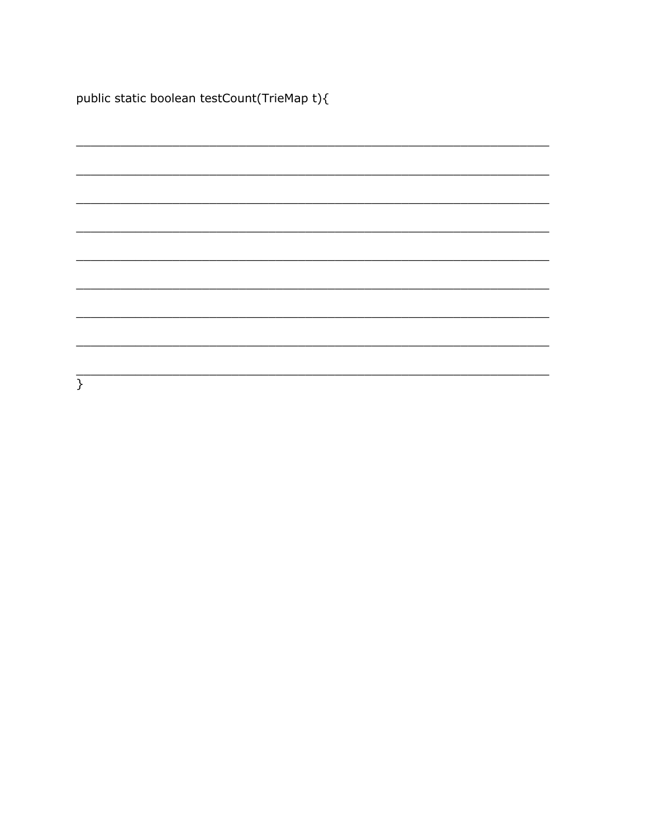public static boolean testCount(TrieMap t){

| $\mathcal{E}$ |  |  |
|---------------|--|--|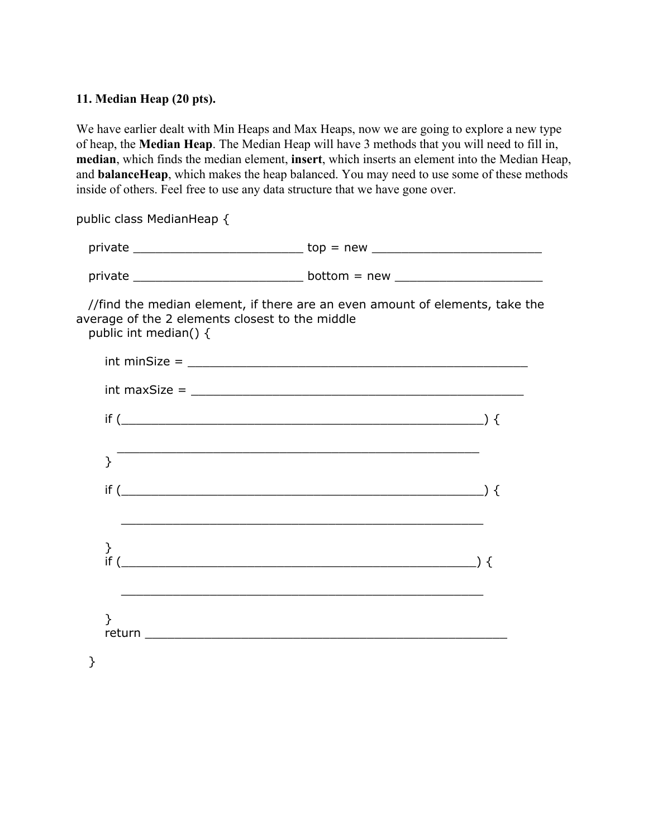## **11. Median Heap (20 pts).**

We have earlier dealt with Min Heaps and Max Heaps, now we are going to explore a new type of heap, the **Median Heap**. The Median Heap will have 3 methods that you will need to fill in, **median**, which finds the median element, **insert**, which inserts an element into the Median Heap, and **balanceHeap**, which makes the heap balanced. You may need to use some of these methods inside of others. Feel free to use any data structure that we have gone over.

public class MedianHeap {

| private | $top = new$    |
|---------|----------------|
| private | $bottom = new$ |

//find the median element, if there are an even amount of elements, take the average of the 2 elements closest to the middle public int median() {

| $int minSize =$ |  |
|-----------------|--|
|                 |  |
|                 |  |
| }               |  |
| $if (\_ )$      |  |
|                 |  |
| }<br>if (       |  |
|                 |  |
| }               |  |
| ł               |  |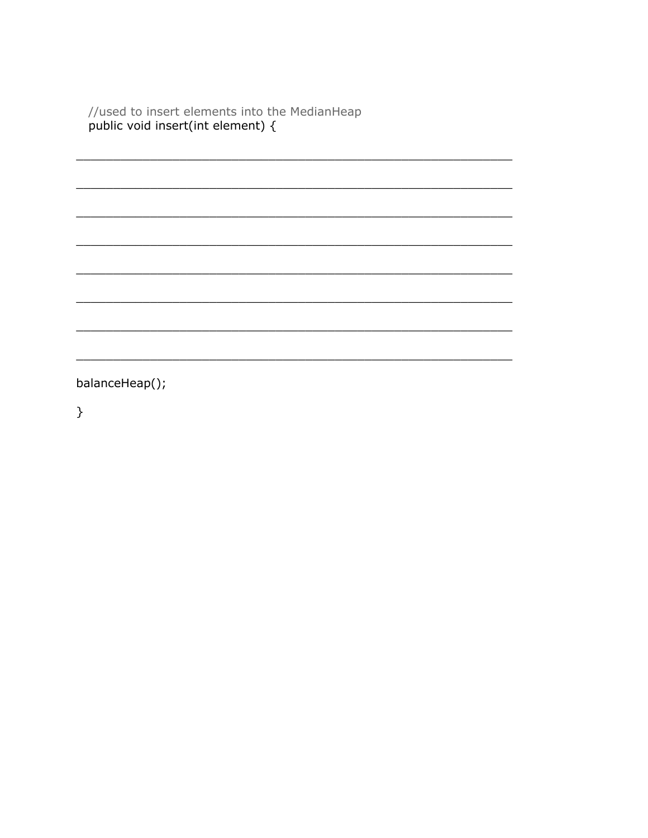//used to insert elements into the MedianHeap<br>public void insert(int element) {

balanceHeap();

 $\}$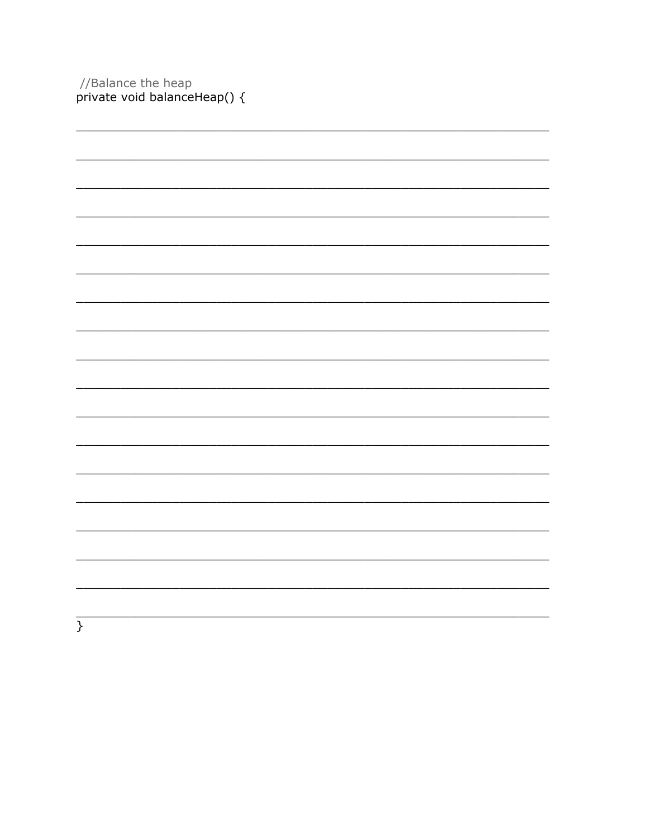//Balance the heap<br>private void balanceHeap() {

| $\}$ |  |  |
|------|--|--|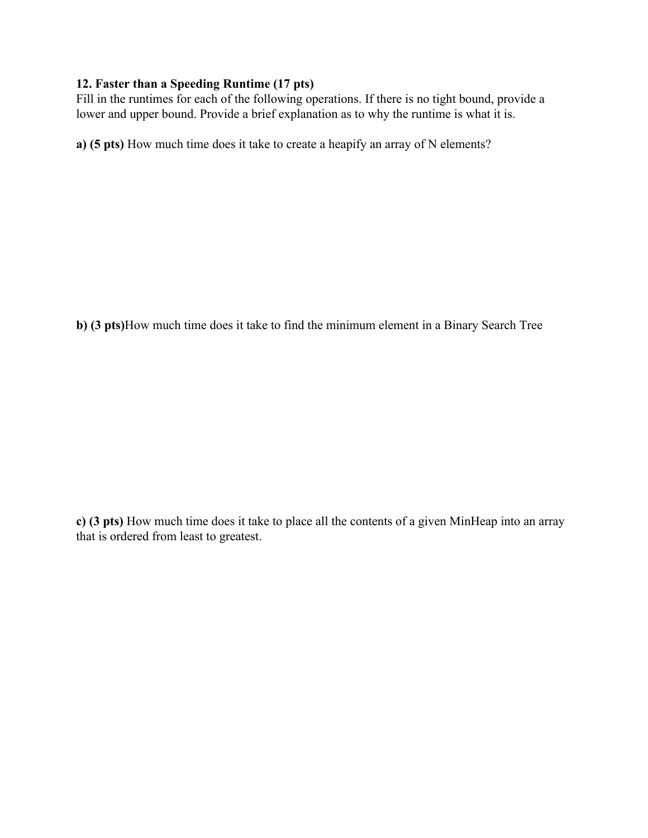## **12. Faster than a Speeding Runtime (17 pts)**

Fill in the runtimes for each of the following operations. If there is no tight bound, provide a lower and upper bound. Provide a brief explanation as to why the runtime is what it is.

**a) (5 pts)** How much time does it take to create a heapify an array of N elements?

**b) (3 pts)**How much time does it take to find the minimum element in a Binary Search Tree

**c) (3 pts)** How much time does it take to place all the contents of a given MinHeap into an array that is ordered from least to greatest.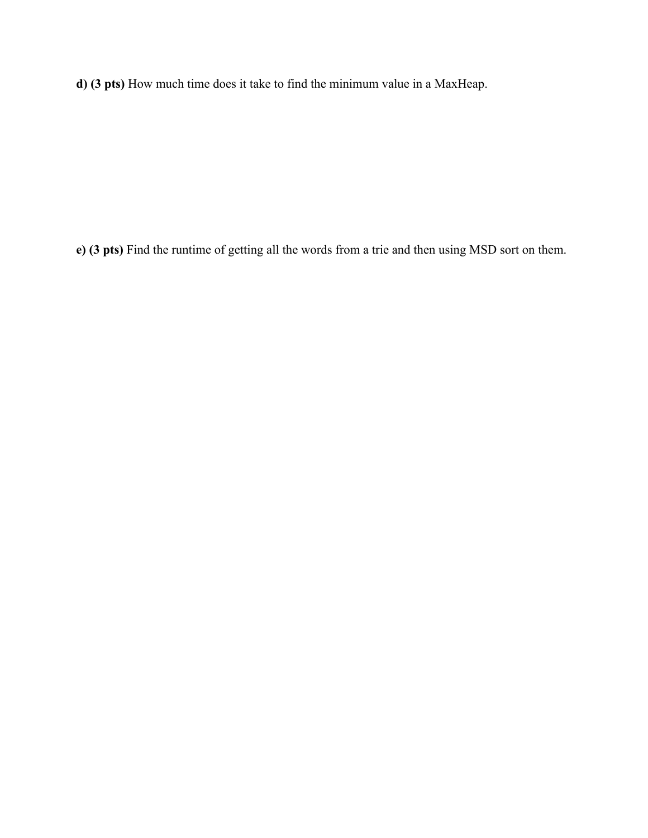**d) (3 pts)** How much time does it take to find the minimum value in a MaxHeap.

**e) (3 pts)** Find the runtime of getting all the words from a trie and then using MSD sort on them.